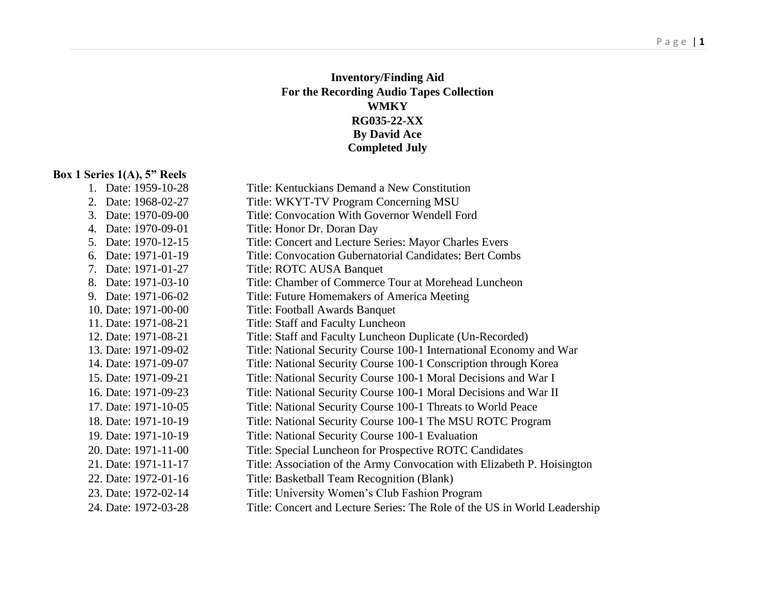### **Inventory/Finding Aid For the Recording Audio Tapes Collection WMKY RG035-22-XX By David Ace Completed July**

### **Box 1 Series 1(A), 5" Reels**

| Date: 1959-10-28       | Title: Kentuckians Demand a New Constitution                              |
|------------------------|---------------------------------------------------------------------------|
| Date: 1968-02-27<br>2. | Title: WKYT-TV Program Concerning MSU                                     |
| 3. Date: 1970-09-00    | Title: Convocation With Governor Wendell Ford                             |
| 4. Date: 1970-09-01    | Title: Honor Dr. Doran Day                                                |
| 5. Date: 1970-12-15    | Title: Concert and Lecture Series: Mayor Charles Evers                    |
| 6. Date: 1971-01-19    | <b>Title: Convocation Gubernatorial Candidates: Bert Combs</b>            |
| 7. Date: 1971-01-27    | Title: ROTC AUSA Banquet                                                  |
| 8. Date: 1971-03-10    | Title: Chamber of Commerce Tour at Morehead Luncheon                      |
| 9. Date: 1971-06-02    | Title: Future Homemakers of America Meeting                               |
| 10. Date: 1971-00-00   | <b>Title: Football Awards Banquet</b>                                     |
| 11. Date: 1971-08-21   | Title: Staff and Faculty Luncheon                                         |
| 12. Date: 1971-08-21   | Title: Staff and Faculty Luncheon Duplicate (Un-Recorded)                 |
| 13. Date: 1971-09-02   | Title: National Security Course 100-1 International Economy and War       |
| 14. Date: 1971-09-07   | Title: National Security Course 100-1 Conscription through Korea          |
| 15. Date: 1971-09-21   | Title: National Security Course 100-1 Moral Decisions and War I           |
| 16. Date: 1971-09-23   | Title: National Security Course 100-1 Moral Decisions and War II          |
| 17. Date: 1971-10-05   | Title: National Security Course 100-1 Threats to World Peace              |
| 18. Date: 1971-10-19   | Title: National Security Course 100-1 The MSU ROTC Program                |
| 19. Date: 1971-10-19   | Title: National Security Course 100-1 Evaluation                          |
| 20. Date: 1971-11-00   | Title: Special Luncheon for Prospective ROTC Candidates                   |
| 21. Date: 1971-11-17   | Title: Association of the Army Convocation with Elizabeth P. Hoisington   |
| 22. Date: 1972-01-16   | Title: Basketball Team Recognition (Blank)                                |
| 23. Date: 1972-02-14   | Title: University Women's Club Fashion Program                            |
| 24. Date: 1972-03-28   | Title: Concert and Lecture Series: The Role of the US in World Leadership |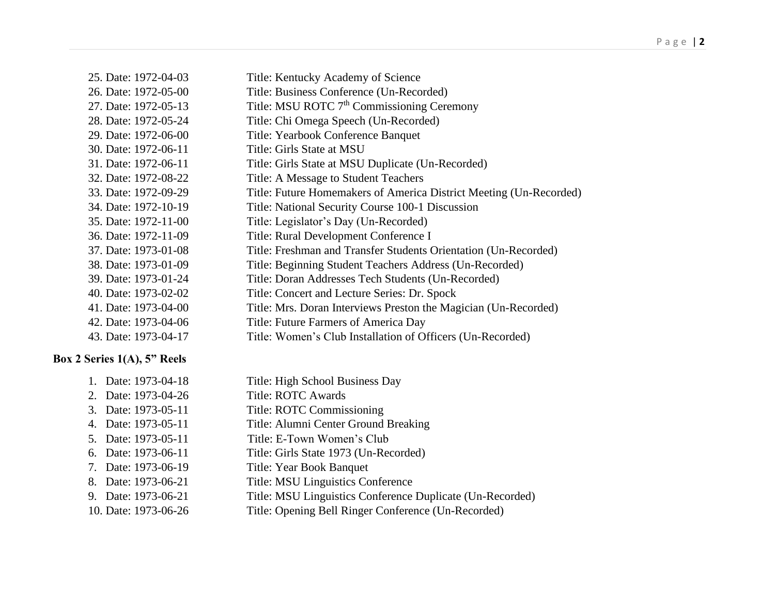| 25. Date: 1972-04-03 | Title: Kentucky Academy of Science                                 |
|----------------------|--------------------------------------------------------------------|
|                      |                                                                    |
| 26. Date: 1972-05-00 | Title: Business Conference (Un-Recorded)                           |
| 27. Date: 1972-05-13 | Title: MSU ROTC 7 <sup>th</sup> Commissioning Ceremony             |
| 28. Date: 1972-05-24 | Title: Chi Omega Speech (Un-Recorded)                              |
| 29. Date: 1972-06-00 | Title: Yearbook Conference Banquet                                 |
| 30. Date: 1972-06-11 | Title: Girls State at MSU                                          |
| 31. Date: 1972-06-11 | Title: Girls State at MSU Duplicate (Un-Recorded)                  |
| 32. Date: 1972-08-22 | Title: A Message to Student Teachers                               |
| 33. Date: 1972-09-29 | Title: Future Homemakers of America District Meeting (Un-Recorded) |
| 34. Date: 1972-10-19 | Title: National Security Course 100-1 Discussion                   |
| 35. Date: 1972-11-00 | Title: Legislator's Day (Un-Recorded)                              |
| 36. Date: 1972-11-09 | Title: Rural Development Conference I                              |
| 37. Date: 1973-01-08 | Title: Freshman and Transfer Students Orientation (Un-Recorded)    |
| 38. Date: 1973-01-09 | Title: Beginning Student Teachers Address (Un-Recorded)            |
| 39. Date: 1973-01-24 | Title: Doran Addresses Tech Students (Un-Recorded)                 |
| 40. Date: 1973-02-02 | Title: Concert and Lecture Series: Dr. Spock                       |
| 41. Date: 1973-04-00 | Title: Mrs. Doran Interviews Preston the Magician (Un-Recorded)    |
| 42. Date: 1973-04-06 | Title: Future Farmers of America Day                               |
| 43. Date: 1973-04-17 | Title: Women's Club Installation of Officers (Un-Recorded)         |
|                      |                                                                    |

## **Box 2 Series 1(A), 5" Reels**

| 1. Date: 1973-04-18  | Title: High School Business Day                           |
|----------------------|-----------------------------------------------------------|
| 2. Date: 1973-04-26  | Title: ROTC Awards                                        |
| 3. Date: 1973-05-11  | Title: ROTC Commissioning                                 |
| 4. Date: 1973-05-11  | Title: Alumni Center Ground Breaking                      |
| 5. Date: 1973-05-11  | Title: E-Town Women's Club                                |
| 6. Date: 1973-06-11  | Title: Girls State 1973 (Un-Recorded)                     |
| 7. Date: 1973-06-19  | <b>Title: Year Book Banquet</b>                           |
| 8. Date: 1973-06-21  | <b>Title: MSU Linguistics Conference</b>                  |
| 9. Date: 1973-06-21  | Title: MSU Linguistics Conference Duplicate (Un-Recorded) |
| 10. Date: 1973-06-26 | Title: Opening Bell Ringer Conference (Un-Recorded)       |
|                      |                                                           |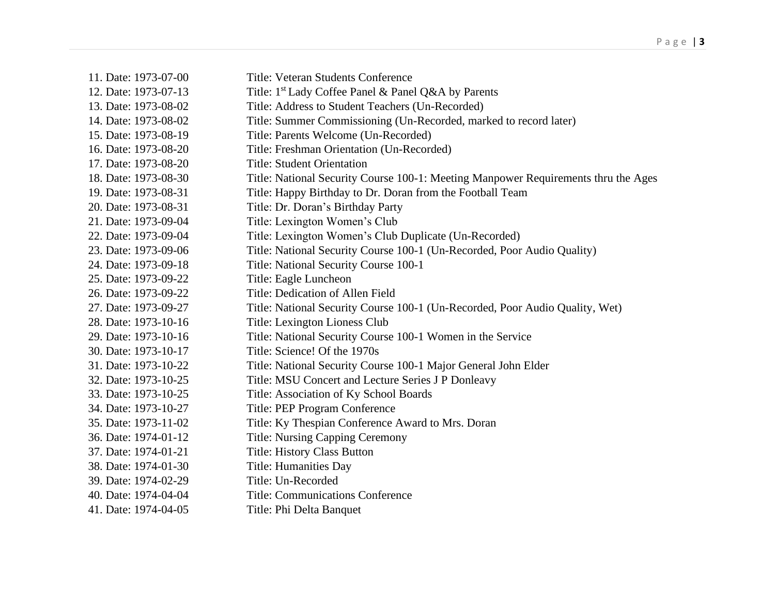| 11. Date: 1973-07-00 | <b>Title: Veteran Students Conference</b>                                          |
|----------------------|------------------------------------------------------------------------------------|
| 12. Date: 1973-07-13 | Title: 1 <sup>st</sup> Lady Coffee Panel & Panel Q&A by Parents                    |
| 13. Date: 1973-08-02 | Title: Address to Student Teachers (Un-Recorded)                                   |
| 14. Date: 1973-08-02 | Title: Summer Commissioning (Un-Recorded, marked to record later)                  |
| 15. Date: 1973-08-19 | Title: Parents Welcome (Un-Recorded)                                               |
| 16. Date: 1973-08-20 | Title: Freshman Orientation (Un-Recorded)                                          |
| 17. Date: 1973-08-20 | <b>Title: Student Orientation</b>                                                  |
| 18. Date: 1973-08-30 | Title: National Security Course 100-1: Meeting Manpower Requirements thru the Ages |
| 19. Date: 1973-08-31 | Title: Happy Birthday to Dr. Doran from the Football Team                          |
| 20. Date: 1973-08-31 | Title: Dr. Doran's Birthday Party                                                  |
| 21. Date: 1973-09-04 | Title: Lexington Women's Club                                                      |
| 22. Date: 1973-09-04 | Title: Lexington Women's Club Duplicate (Un-Recorded)                              |
| 23. Date: 1973-09-06 | Title: National Security Course 100-1 (Un-Recorded, Poor Audio Quality)            |
| 24. Date: 1973-09-18 | Title: National Security Course 100-1                                              |
| 25. Date: 1973-09-22 | Title: Eagle Luncheon                                                              |
| 26. Date: 1973-09-22 | Title: Dedication of Allen Field                                                   |
| 27. Date: 1973-09-27 | Title: National Security Course 100-1 (Un-Recorded, Poor Audio Quality, Wet)       |
| 28. Date: 1973-10-16 | <b>Title: Lexington Lioness Club</b>                                               |
| 29. Date: 1973-10-16 | Title: National Security Course 100-1 Women in the Service                         |
| 30. Date: 1973-10-17 | Title: Science! Of the 1970s                                                       |
| 31. Date: 1973-10-22 | Title: National Security Course 100-1 Major General John Elder                     |
| 32. Date: 1973-10-25 | Title: MSU Concert and Lecture Series J P Donleavy                                 |
| 33. Date: 1973-10-25 | Title: Association of Ky School Boards                                             |
| 34. Date: 1973-10-27 | Title: PEP Program Conference                                                      |
| 35. Date: 1973-11-02 | Title: Ky Thespian Conference Award to Mrs. Doran                                  |
| 36. Date: 1974-01-12 | <b>Title: Nursing Capping Ceremony</b>                                             |
| 37. Date: 1974-01-21 | <b>Title: History Class Button</b>                                                 |
| 38. Date: 1974-01-30 | <b>Title: Humanities Day</b>                                                       |
| 39. Date: 1974-02-29 | Title: Un-Recorded                                                                 |
| 40. Date: 1974-04-04 | <b>Title: Communications Conference</b>                                            |
| 41. Date: 1974-04-05 | Title: Phi Delta Banquet                                                           |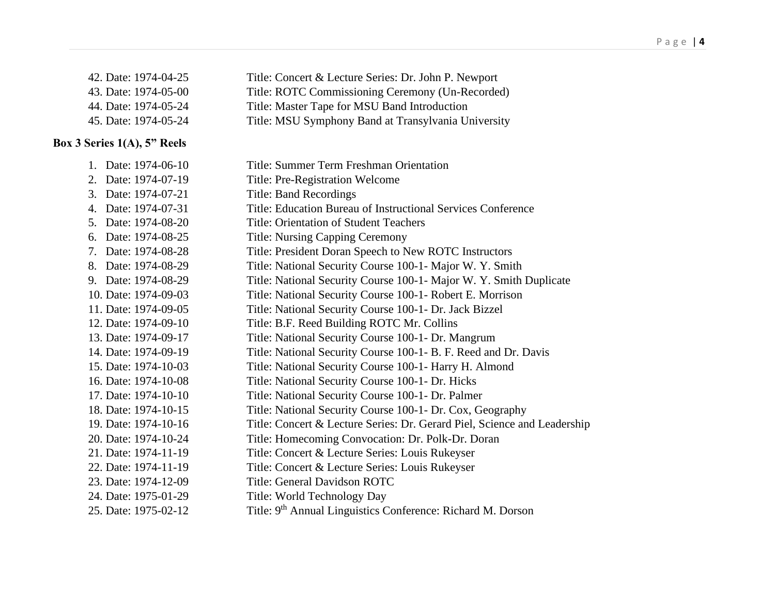| 42. Date: 1974-04-25 | Title: Concert & Lecture Series: Dr. John P. Newport |
|----------------------|------------------------------------------------------|
|                      |                                                      |
| 43. Date: 1974-05-00 | Title: ROTC Commissioning Ceremony (Un-Recorded)     |
| 44. Date: 1974-05-24 | Title: Master Tape for MSU Band Introduction         |
| 45. Date: 1974-05-24 | Title: MSU Symphony Band at Transylvania University  |
|                      |                                                      |

## **Box 3 Series 1(A), 5" Reels**

| 1. Date: 1974-06-10  | Title: Summer Term Freshman Orientation                                  |
|----------------------|--------------------------------------------------------------------------|
| 2. Date: 1974-07-19  | Title: Pre-Registration Welcome                                          |
| 3. Date: 1974-07-21  | <b>Title: Band Recordings</b>                                            |
| 4. Date: 1974-07-31  | Title: Education Bureau of Instructional Services Conference             |
| 5. Date: 1974-08-20  | <b>Title: Orientation of Student Teachers</b>                            |
| 6. Date: 1974-08-25  | <b>Title: Nursing Capping Ceremony</b>                                   |
| 7. Date: 1974-08-28  | Title: President Doran Speech to New ROTC Instructors                    |
| 8. Date: 1974-08-29  | Title: National Security Course 100-1- Major W. Y. Smith                 |
| 9. Date: 1974-08-29  | Title: National Security Course 100-1- Major W. Y. Smith Duplicate       |
| 10. Date: 1974-09-03 | Title: National Security Course 100-1- Robert E. Morrison                |
| 11. Date: 1974-09-05 | Title: National Security Course 100-1- Dr. Jack Bizzel                   |
| 12. Date: 1974-09-10 | Title: B.F. Reed Building ROTC Mr. Collins                               |
| 13. Date: 1974-09-17 | Title: National Security Course 100-1- Dr. Mangrum                       |
| 14. Date: 1974-09-19 | Title: National Security Course 100-1- B. F. Reed and Dr. Davis          |
| 15. Date: 1974-10-03 | Title: National Security Course 100-1- Harry H. Almond                   |
| 16. Date: 1974-10-08 | Title: National Security Course 100-1- Dr. Hicks                         |
| 17. Date: 1974-10-10 | Title: National Security Course 100-1- Dr. Palmer                        |
| 18. Date: 1974-10-15 | Title: National Security Course 100-1- Dr. Cox, Geography                |
| 19. Date: 1974-10-16 | Title: Concert & Lecture Series: Dr. Gerard Piel, Science and Leadership |
| 20. Date: 1974-10-24 | Title: Homecoming Convocation: Dr. Polk-Dr. Doran                        |
| 21. Date: 1974-11-19 | Title: Concert & Lecture Series: Louis Rukeyser                          |
| 22. Date: 1974-11-19 | Title: Concert & Lecture Series: Louis Rukeyser                          |
| 23. Date: 1974-12-09 | Title: General Davidson ROTC                                             |
| 24. Date: 1975-01-29 | Title: World Technology Day                                              |
| 25. Date: 1975-02-12 | Title: 9 <sup>th</sup> Annual Linguistics Conference: Richard M. Dorson  |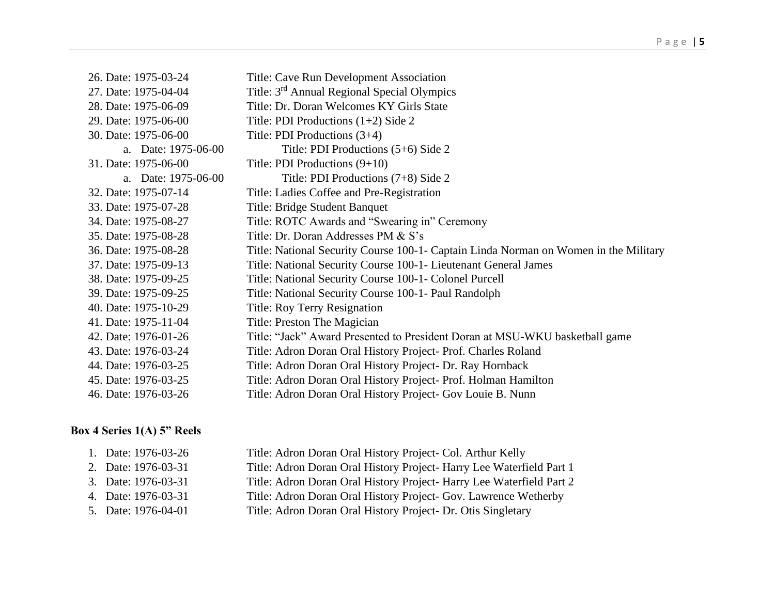| 26. Date: 1975-03-24 | Title: Cave Run Development Association                                              |
|----------------------|--------------------------------------------------------------------------------------|
| 27. Date: 1975-04-04 | Title: 3 <sup>rd</sup> Annual Regional Special Olympics                              |
| 28. Date: 1975-06-09 | Title: Dr. Doran Welcomes KY Girls State                                             |
| 29. Date: 1975-06-00 | Title: PDI Productions $(1+2)$ Side 2                                                |
| 30. Date: 1975-06-00 | Title: PDI Productions $(3+4)$                                                       |
| a. Date: 1975-06-00  | Title: PDI Productions $(5+6)$ Side 2                                                |
| 31. Date: 1975-06-00 | Title: PDI Productions $(9+10)$                                                      |
| a. Date: 1975-06-00  | Title: PDI Productions $(7+8)$ Side 2                                                |
| 32. Date: 1975-07-14 | Title: Ladies Coffee and Pre-Registration                                            |
| 33. Date: 1975-07-28 | Title: Bridge Student Banquet                                                        |
| 34. Date: 1975-08-27 | Title: ROTC Awards and "Swearing in" Ceremony                                        |
| 35. Date: 1975-08-28 | Title: Dr. Doran Addresses PM & S's                                                  |
| 36. Date: 1975-08-28 | Title: National Security Course 100-1- Captain Linda Norman on Women in the Military |
| 37. Date: 1975-09-13 | Title: National Security Course 100-1- Lieutenant General James                      |
| 38. Date: 1975-09-25 | Title: National Security Course 100-1- Colonel Purcell                               |
| 39. Date: 1975-09-25 | Title: National Security Course 100-1- Paul Randolph                                 |
| 40. Date: 1975-10-29 | Title: Roy Terry Resignation                                                         |
| 41. Date: 1975-11-04 | Title: Preston The Magician                                                          |
| 42. Date: 1976-01-26 | Title: "Jack" Award Presented to President Doran at MSU-WKU basketball game          |
| 43. Date: 1976-03-24 | Title: Adron Doran Oral History Project-Prof. Charles Roland                         |
| 44. Date: 1976-03-25 | Title: Adron Doran Oral History Project- Dr. Ray Hornback                            |
| 45. Date: 1976-03-25 | Title: Adron Doran Oral History Project-Prof. Holman Hamilton                        |
| 46. Date: 1976-03-26 | Title: Adron Doran Oral History Project- Gov Louie B. Nunn                           |

## **Box 4 Series 1(A) 5" Reels**

| 1. Date: 1976-03-26 | Title: Adron Doran Oral History Project- Col. Arthur Kelly          |
|---------------------|---------------------------------------------------------------------|
| 2. Date: 1976-03-31 | Title: Adron Doran Oral History Project-Harry Lee Waterfield Part 1 |
| 3. Date: 1976-03-31 | Title: Adron Doran Oral History Project-Harry Lee Waterfield Part 2 |
| 4. Date: 1976-03-31 | Title: Adron Doran Oral History Project- Gov. Lawrence Wetherby     |
| 5. Date: 1976-04-01 | Title: Adron Doran Oral History Project- Dr. Otis Singletary        |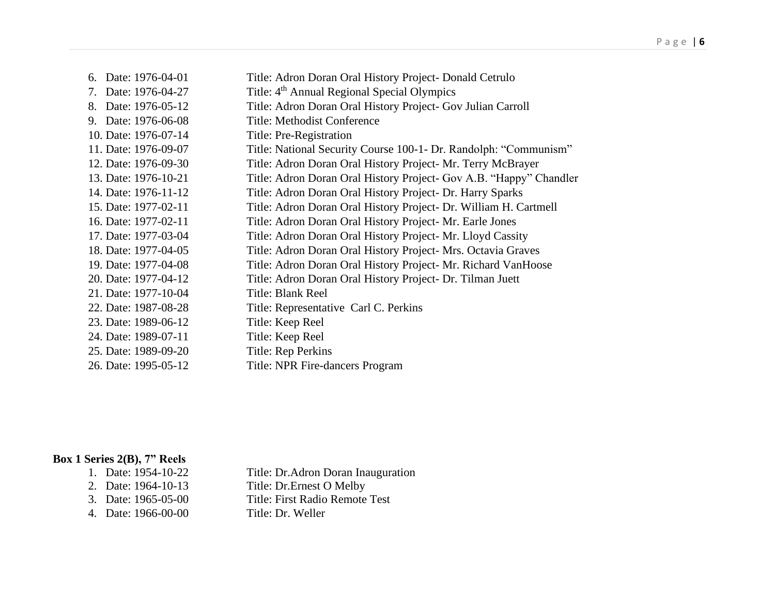| 6. Date: 1976-04-01    | Title: Adron Doran Oral History Project- Donald Cetrulo            |
|------------------------|--------------------------------------------------------------------|
| 7. Date: 1976-04-27    | Title: 4 <sup>th</sup> Annual Regional Special Olympics            |
| Date: 1976-05-12<br>8. | Title: Adron Doran Oral History Project- Gov Julian Carroll        |
| 9. Date: 1976-06-08    | <b>Title: Methodist Conference</b>                                 |
| 10. Date: 1976-07-14   | Title: Pre-Registration                                            |
| 11. Date: 1976-09-07   | Title: National Security Course 100-1- Dr. Randolph: "Communism"   |
| 12. Date: 1976-09-30   | Title: Adron Doran Oral History Project- Mr. Terry McBrayer        |
| 13. Date: 1976-10-21   | Title: Adron Doran Oral History Project- Gov A.B. "Happy" Chandler |
| 14. Date: 1976-11-12   | Title: Adron Doran Oral History Project- Dr. Harry Sparks          |
| 15. Date: 1977-02-11   | Title: Adron Doran Oral History Project- Dr. William H. Cartmell   |
| 16. Date: 1977-02-11   | Title: Adron Doran Oral History Project- Mr. Earle Jones           |
| 17. Date: 1977-03-04   | Title: Adron Doran Oral History Project- Mr. Lloyd Cassity         |
| 18. Date: 1977-04-05   | Title: Adron Doran Oral History Project- Mrs. Octavia Graves       |
| 19. Date: 1977-04-08   | Title: Adron Doran Oral History Project- Mr. Richard VanHoose      |
| 20. Date: 1977-04-12   | Title: Adron Doran Oral History Project- Dr. Tilman Juett          |
| 21. Date: 1977-10-04   | <b>Title: Blank Reel</b>                                           |
| 22. Date: 1987-08-28   | Title: Representative Carl C. Perkins                              |
| 23. Date: 1989-06-12   | Title: Keep Reel                                                   |
| 24. Date: 1989-07-11   | Title: Keep Reel                                                   |
| 25. Date: 1989-09-20   | Title: Rep Perkins                                                 |
| 26. Date: 1995-05-12   | <b>Title: NPR Fire-dancers Program</b>                             |

# **Box 1 Series 2(B), 7" Reels**

- 
- 
- 
- 4. Date: 1966-00-00
- 1. Date: 1954-10-22 Title: Dr.Adron Doran Inauguration
- 2. Date: 1964-10-13 Title: Dr.Ernest O Melby
- 3. Date: 1965-05-00<br>
4. Date: 1966-00-00<br>
Title: Dr. Weller<br>
Title: Dr. Weller
	-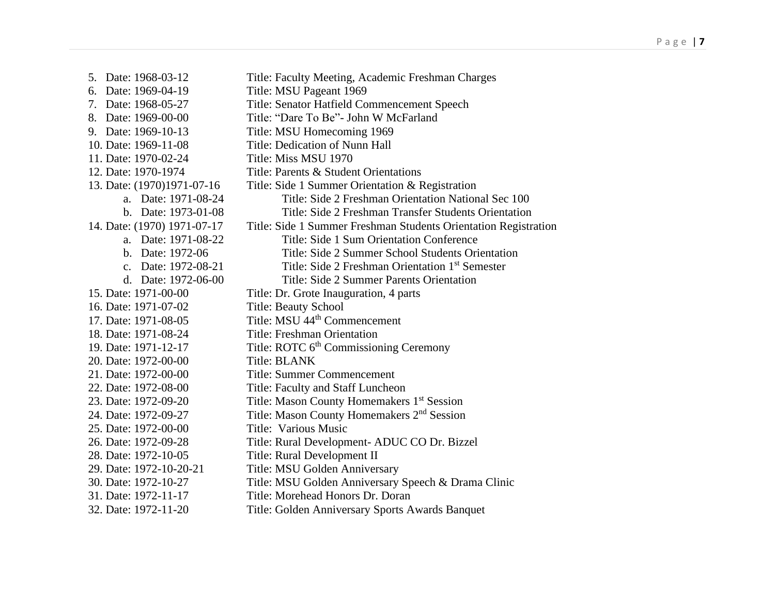5. Date: 1968-03-12 Title: Faculty Meeting, Academic Freshman Charges 6. Date: 1969-04-19 Title: MSU Pageant 1969 7. Date: 1968-05-27 Title: Senator Hatfield Commencement Speech 8. Date: 1969-00-00 Title: "Dare To Be"- John W McFarland 9. Date: 1969-10-13 Title: MSU Homecoming 1969 10. Date: 1969-11-08 Title: Dedication of Nunn Hall 11. Date: 1970-02-24 Title: Miss MSU 1970 12. Date: 1970-1974 Title: Parents & Student Orientations 13. Date: (1970)1971-07-16 Title: Side 1 Summer Orientation & Registration a. Date: 1971-08-24 Title: Side 2 Freshman Orientation National Sec 100 b. Date: 1973-01-08 Title: Side 2 Freshman Transfer Students Orientation 14. Date: (1970) 1971-07-17 Title: Side 1 Summer Freshman Students Orientation Registration a. Date: 1971-08-22 Title: Side 1 Sum Orientation Conference b. Date: 1972-06 Title: Side 2 Summer School Students Orientation c. Date:  $1972-08-21$  Title: Side 2 Freshman Orientation 1<sup>st</sup> Semester d. Date: 1972-06-00 Title: Side 2 Summer Parents Orientation 15. Date: 1971-00-00 Title: Dr. Grote Inauguration, 4 parts 16. Date: 1971-07-02 Title: Beauty School 17. Date: 1971-08-05 Title: MSU 44<sup>th</sup> Commencement 18. Date: 1971-08-24 Title: Freshman Orientation 19. Date: 1971-12-17 Title: ROTC 6<sup>th</sup> Commissioning Ceremony 20. Date: 1972-00-00 Title: BLANK 21. Date: 1972-00-00 Title: Summer Commencement 22. Date: 1972-08-00 Title: Faculty and Staff Luncheon 23. Date: 1972-09-20 Title: Mason County Homemakers 1<sup>st</sup> Session 24. Date: 1972-09-27 Title: Mason County Homemakers 2<sup>nd</sup> Session 25. Date: 1972-00-00 Title: Various Music 26. Date: 1972-09-28 Title: Rural Development- ADUC CO Dr. Bizzel 28. Date: 1972-10-05 Title: Rural Development II 29. Date: 1972-10-20-21 Title: MSU Golden Anniversary 30. Date: 1972-10-27 Title: MSU Golden Anniversary Speech & Drama Clinic 31. Date: 1972-11-17 Title: Morehead Honors Dr. Doran 32. Date: 1972-11-20 Title: Golden Anniversary Sports Awards Banquet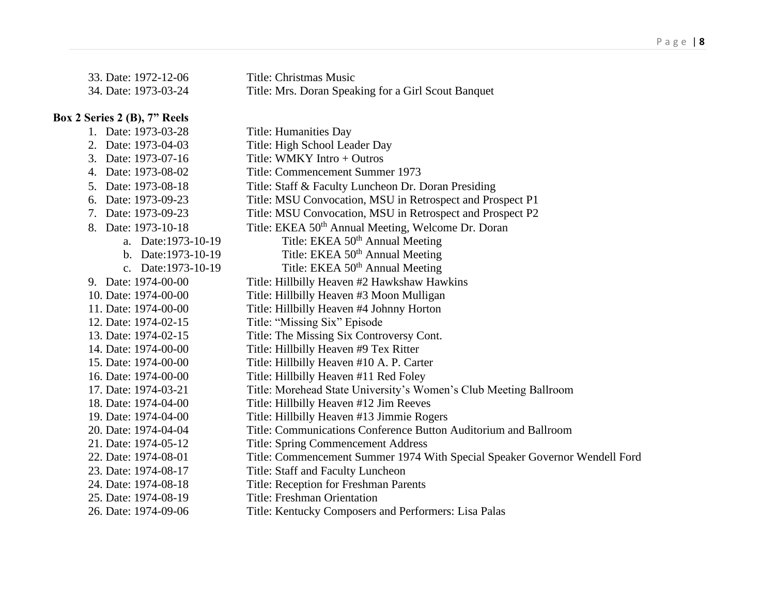| 33. Date: 1972-12-06 | Title: Christmas Music                              |
|----------------------|-----------------------------------------------------|
| 34. Date: 1973-03-24 | Title: Mrs. Doran Speaking for a Girl Scout Banquet |

## **Box 2 Series 2 (B), 7" Reels**

| Date: 1973-03-28     | Title: Humanities Day                                                      |
|----------------------|----------------------------------------------------------------------------|
| 2. Date: 1973-04-03  | Title: High School Leader Day                                              |
| 3. Date: 1973-07-16  | Title: WMKY Intro + Outros                                                 |
| 4. Date: 1973-08-02  | Title: Commencement Summer 1973                                            |
| 5. Date: 1973-08-18  | Title: Staff & Faculty Luncheon Dr. Doran Presiding                        |
| 6. Date: 1973-09-23  | Title: MSU Convocation, MSU in Retrospect and Prospect P1                  |
| 7. Date: 1973-09-23  | Title: MSU Convocation, MSU in Retrospect and Prospect P2                  |
| 8. Date: 1973-10-18  | Title: EKEA 50 <sup>th</sup> Annual Meeting, Welcome Dr. Doran             |
| a. Date:1973-10-19   | Title: EKEA 50 <sup>th</sup> Annual Meeting                                |
| b. Date: 1973-10-19  | Title: EKEA 50 <sup>th</sup> Annual Meeting                                |
| c. Date:1973-10-19   | Title: EKEA 50 <sup>th</sup> Annual Meeting                                |
| 9. Date: 1974-00-00  | Title: Hillbilly Heaven #2 Hawkshaw Hawkins                                |
| 10. Date: 1974-00-00 | Title: Hillbilly Heaven #3 Moon Mulligan                                   |
| 11. Date: 1974-00-00 | Title: Hillbilly Heaven #4 Johnny Horton                                   |
| 12. Date: 1974-02-15 | Title: "Missing Six" Episode                                               |
| 13. Date: 1974-02-15 | Title: The Missing Six Controversy Cont.                                   |
| 14. Date: 1974-00-00 | Title: Hillbilly Heaven #9 Tex Ritter                                      |
| 15. Date: 1974-00-00 | Title: Hillbilly Heaven #10 A. P. Carter                                   |
| 16. Date: 1974-00-00 | Title: Hillbilly Heaven #11 Red Foley                                      |
| 17. Date: 1974-03-21 | Title: Morehead State University's Women's Club Meeting Ballroom           |
| 18. Date: 1974-04-00 | Title: Hillbilly Heaven #12 Jim Reeves                                     |
| 19. Date: 1974-04-00 | Title: Hillbilly Heaven #13 Jimmie Rogers                                  |
| 20. Date: 1974-04-04 | Title: Communications Conference Button Auditorium and Ballroom            |
| 21. Date: 1974-05-12 | <b>Title: Spring Commencement Address</b>                                  |
| 22. Date: 1974-08-01 | Title: Commencement Summer 1974 With Special Speaker Governor Wendell Ford |
| 23. Date: 1974-08-17 | Title: Staff and Faculty Luncheon                                          |
| 24. Date: 1974-08-18 | <b>Title: Reception for Freshman Parents</b>                               |
| 25. Date: 1974-08-19 | <b>Title: Freshman Orientation</b>                                         |
| 26. Date: 1974-09-06 | Title: Kentucky Composers and Performers: Lisa Palas                       |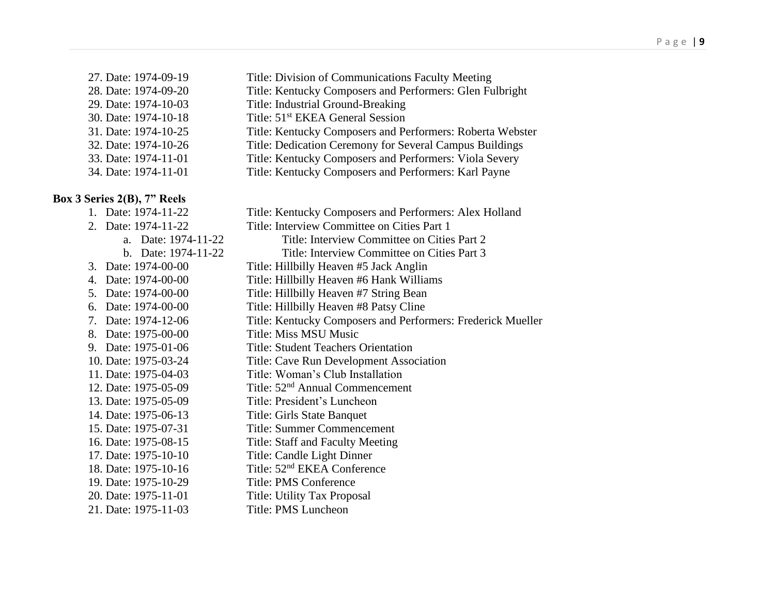| 27. Date: 1974-09-19           | Title: Division of Communications Faculty Meeting           |
|--------------------------------|-------------------------------------------------------------|
| 28. Date: 1974-09-20           | Title: Kentucky Composers and Performers: Glen Fulbright    |
| 29. Date: 1974-10-03           | Title: Industrial Ground-Breaking                           |
| 30. Date: 1974-10-18           | Title: 51 <sup>st</sup> EKEA General Session                |
| 31. Date: 1974-10-25           | Title: Kentucky Composers and Performers: Roberta Webster   |
| 32. Date: 1974-10-26           | Title: Dedication Ceremony for Several Campus Buildings     |
| 33. Date: 1974-11-01           | Title: Kentucky Composers and Performers: Viola Severy      |
| 34. Date: 1974-11-01           | Title: Kentucky Composers and Performers: Karl Payne        |
|                                |                                                             |
| Box 3 Series $2(B)$ , 7" Reels |                                                             |
| 1. Date: 1974-11-22            | Title: Kentucky Composers and Performers: Alex Holland      |
| 2. Date: 1974-11-22            | Title: Interview Committee on Cities Part 1                 |
| a. Date: 1974-11-22            | Title: Interview Committee on Cities Part 2                 |
| b. Date: 1974-11-22            | Title: Interview Committee on Cities Part 3                 |
| 3. Date: 1974-00-00            | Title: Hillbilly Heaven #5 Jack Anglin                      |
| 4. Date: 1974-00-00            | Title: Hillbilly Heaven #6 Hank Williams                    |
| 5. Date: 1974-00-00            | Title: Hillbilly Heaven #7 String Bean                      |
| 6. Date: 1974-00-00            | Title: Hillbilly Heaven #8 Patsy Cline                      |
| 7. Date: 1974-12-06            | Title: Kentucky Composers and Performers: Frederick Mueller |
| 8. Date: 1975-00-00            | <b>Title: Miss MSU Music</b>                                |
| 9. Date: 1975-01-06            | <b>Title: Student Teachers Orientation</b>                  |
| 10. Date: 1975-03-24           | <b>Title: Cave Run Development Association</b>              |

- 
- 11. Date: 1975-04-03 Title: Woman's Club Installation
- 12. Date: 1975-05-09 Title: 52nd Annual Commencement
- 13. Date: 1975-05-09 Title: President's Luncheon
- 14. Date: 1975-06-13<br>15. Date: 1975-07-31<br>Title: Summer Commence
	- Title: Summer Commencement
- 16. Date: 1975-08-15 Title: Staff and Faculty Meeting
- 17. Date: 1975-10-10 Title: Candle Light Dinner
- 18. Date: 1975-10-16 Title: 52<sup>nd</sup> EKEA Conference
- 19. Date: 1975-10-29<br>
20. Date: 1975-11-01<br>
Title: Utility Tax Propo
- Title: Utility Tax Proposal
- 21. Date: 1975-11-03 Title: PMS Luncheon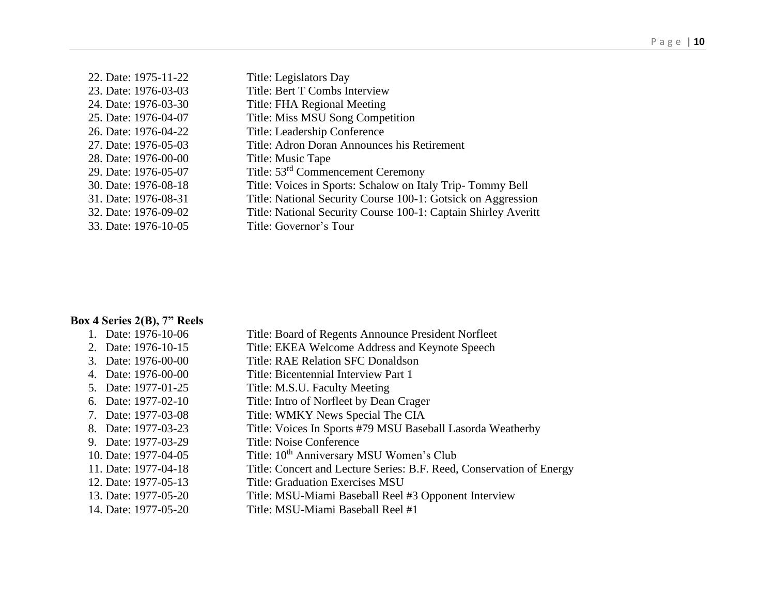| 22. Date: 1975-11-22 | Title: Legislators Day                                         |
|----------------------|----------------------------------------------------------------|
| 23. Date: 1976-03-03 | Title: Bert T Combs Interview                                  |
| 24. Date: 1976-03-30 | Title: FHA Regional Meeting                                    |
| 25. Date: 1976-04-07 | Title: Miss MSU Song Competition                               |
| 26. Date: 1976-04-22 | Title: Leadership Conference                                   |
| 27. Date: 1976-05-03 | Title: Adron Doran Announces his Retirement                    |
| 28. Date: 1976-00-00 | Title: Music Tape                                              |
| 29. Date: 1976-05-07 | Title: 53 <sup>rd</sup> Commencement Ceremony                  |
| 30. Date: 1976-08-18 | Title: Voices in Sports: Schalow on Italy Trip-Tommy Bell      |
| 31. Date: 1976-08-31 | Title: National Security Course 100-1: Gotsick on Aggression   |
| 32. Date: 1976-09-02 | Title: National Security Course 100-1: Captain Shirley Averitt |
| 33. Date: 1976-10-05 | Title: Governor's Tour                                         |

### **Box 4 Series 2(B), 7" Reels**

| 1. Date: 1976-10-06  | Title: Board of Regents Announce President Norfleet                  |
|----------------------|----------------------------------------------------------------------|
| 2. Date: 1976-10-15  | Title: EKEA Welcome Address and Keynote Speech                       |
| 3. Date: 1976-00-00  | Title: RAE Relation SFC Donaldson                                    |
| 4. Date: 1976-00-00  | Title: Bicentennial Interview Part 1                                 |
| 5. Date: 1977-01-25  | Title: M.S.U. Faculty Meeting                                        |
| 6. Date: 1977-02-10  | Title: Intro of Norfleet by Dean Crager                              |
| 7. Date: 1977-03-08  | Title: WMKY News Special The CIA                                     |
| 8. Date: 1977-03-23  | Title: Voices In Sports #79 MSU Baseball Lasorda Weatherby           |
| 9. Date: 1977-03-29  | Title: Noise Conference                                              |
| 10. Date: 1977-04-05 | Title: 10 <sup>th</sup> Anniversary MSU Women's Club                 |
| 11. Date: 1977-04-18 | Title: Concert and Lecture Series: B.F. Reed, Conservation of Energy |
| 12. Date: 1977-05-13 | <b>Title: Graduation Exercises MSU</b>                               |
| 13. Date: 1977-05-20 | Title: MSU-Miami Baseball Reel #3 Opponent Interview                 |
| 14. Date: 1977-05-20 | Title: MSU-Miami Baseball Reel #1                                    |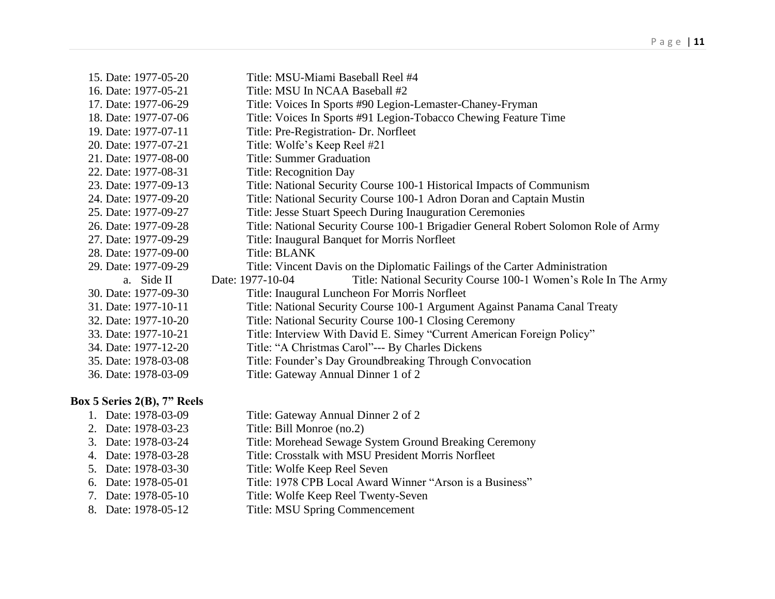| 15. Date: 1977-05-20 | Title: MSU-Miami Baseball Reel #4                                                   |
|----------------------|-------------------------------------------------------------------------------------|
| 16. Date: 1977-05-21 | Title: MSU In NCAA Baseball #2                                                      |
| 17. Date: 1977-06-29 | Title: Voices In Sports #90 Legion-Lemaster-Chaney-Fryman                           |
| 18. Date: 1977-07-06 | Title: Voices In Sports #91 Legion-Tobacco Chewing Feature Time                     |
| 19. Date: 1977-07-11 | Title: Pre-Registration- Dr. Norfleet                                               |
| 20. Date: 1977-07-21 | Title: Wolfe's Keep Reel #21                                                        |
| 21. Date: 1977-08-00 | <b>Title: Summer Graduation</b>                                                     |
| 22. Date: 1977-08-31 | Title: Recognition Day                                                              |
| 23. Date: 1977-09-13 | Title: National Security Course 100-1 Historical Impacts of Communism               |
| 24. Date: 1977-09-20 | Title: National Security Course 100-1 Adron Doran and Captain Mustin                |
| 25. Date: 1977-09-27 | Title: Jesse Stuart Speech During Inauguration Ceremonies                           |
| 26. Date: 1977-09-28 | Title: National Security Course 100-1 Brigadier General Robert Solomon Role of Army |
| 27. Date: 1977-09-29 | Title: Inaugural Banquet for Morris Norfleet                                        |
| 28. Date: 1977-09-00 | Title: BLANK                                                                        |
| 29. Date: 1977-09-29 | Title: Vincent Davis on the Diplomatic Failings of the Carter Administration        |
| a. Side II           | Date: 1977-10-04<br>Title: National Security Course 100-1 Women's Role In The Army  |
| 30. Date: 1977-09-30 | Title: Inaugural Luncheon For Morris Norfleet                                       |
| 31. Date: 1977-10-11 | Title: National Security Course 100-1 Argument Against Panama Canal Treaty          |
| 32. Date: 1977-10-20 | Title: National Security Course 100-1 Closing Ceremony                              |
| 33. Date: 1977-10-21 | Title: Interview With David E. Simey "Current American Foreign Policy"              |
| 34. Date: 1977-12-20 | Title: "A Christmas Carol"--- By Charles Dickens                                    |
| 35. Date: 1978-03-08 | Title: Founder's Day Groundbreaking Through Convocation                             |
| 36. Date: 1978-03-09 | Title: Gateway Annual Dinner 1 of 2                                                 |

### **Box 5 Series 2(B), 7" Reels**

| 1. Date: 1978-03-09 | Title: Gateway Annual Dinner 2 of 2                      |
|---------------------|----------------------------------------------------------|
| 2. Date: 1978-03-23 | Title: Bill Monroe (no.2)                                |
| 3. Date: 1978-03-24 | Title: Morehead Sewage System Ground Breaking Ceremony   |
| 4. Date: 1978-03-28 | Title: Crosstalk with MSU President Morris Norfleet      |
| 5. Date: 1978-03-30 | Title: Wolfe Keep Reel Seven                             |
| 6. Date: 1978-05-01 | Title: 1978 CPB Local Award Winner "Arson is a Business" |
| 7. Date: 1978-05-10 | Title: Wolfe Keep Reel Twenty-Seven                      |
| 8. Date: 1978-05-12 | Title: MSU Spring Commencement                           |
|                     |                                                          |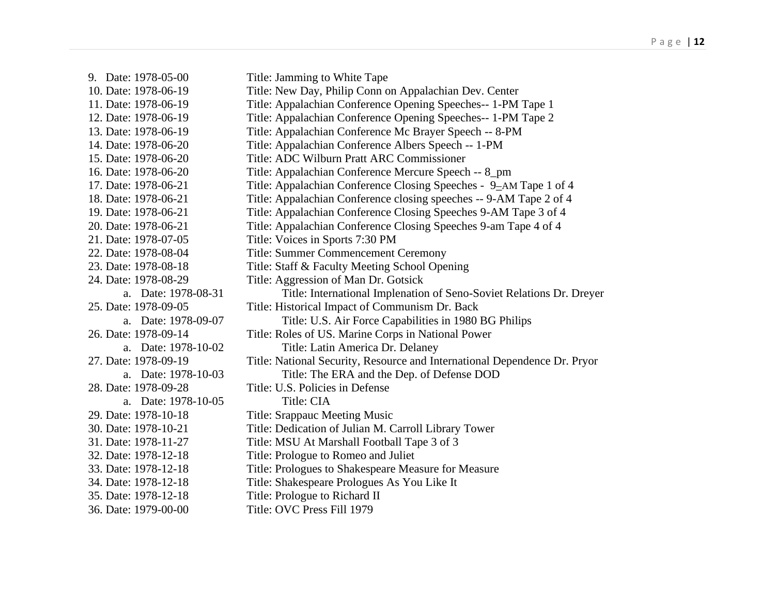| 9. Date: 1978-05-00  | Title: Jamming to White Tape                                              |
|----------------------|---------------------------------------------------------------------------|
| 10. Date: 1978-06-19 | Title: New Day, Philip Conn on Appalachian Dev. Center                    |
| 11. Date: 1978-06-19 | Title: Appalachian Conference Opening Speeches-- 1-PM Tape 1              |
| 12. Date: 1978-06-19 | Title: Appalachian Conference Opening Speeches-- 1-PM Tape 2              |
| 13. Date: 1978-06-19 | Title: Appalachian Conference Mc Brayer Speech -- 8-PM                    |
| 14. Date: 1978-06-20 | Title: Appalachian Conference Albers Speech -- 1-PM                       |
| 15. Date: 1978-06-20 | Title: ADC Wilburn Pratt ARC Commissioner                                 |
| 16. Date: 1978-06-20 | Title: Appalachian Conference Mercure Speech -- 8_pm                      |
| 17. Date: 1978-06-21 | Title: Appalachian Conference Closing Speeches - 9-AM Tape 1 of 4         |
| 18. Date: 1978-06-21 | Title: Appalachian Conference closing speeches -- 9-AM Tape 2 of 4        |
| 19. Date: 1978-06-21 | Title: Appalachian Conference Closing Speeches 9-AM Tape 3 of 4           |
| 20. Date: 1978-06-21 | Title: Appalachian Conference Closing Speeches 9-am Tape 4 of 4           |
| 21. Date: 1978-07-05 | Title: Voices in Sports 7:30 PM                                           |
| 22. Date: 1978-08-04 | <b>Title: Summer Commencement Ceremony</b>                                |
| 23. Date: 1978-08-18 | Title: Staff & Faculty Meeting School Opening                             |
| 24. Date: 1978-08-29 | Title: Aggression of Man Dr. Gotsick                                      |
| a. Date: 1978-08-31  | Title: International Implenation of Seno-Soviet Relations Dr. Dreyer      |
| 25. Date: 1978-09-05 | Title: Historical Impact of Communism Dr. Back                            |
| a. Date: 1978-09-07  | Title: U.S. Air Force Capabilities in 1980 BG Philips                     |
| 26. Date: 1978-09-14 | Title: Roles of US. Marine Corps in National Power                        |
| a. Date: 1978-10-02  | Title: Latin America Dr. Delaney                                          |
| 27. Date: 1978-09-19 | Title: National Security, Resource and International Dependence Dr. Pryor |
| a. Date: 1978-10-03  | Title: The ERA and the Dep. of Defense DOD                                |
| 28. Date: 1978-09-28 | Title: U.S. Policies in Defense                                           |
| a. Date: 1978-10-05  | Title: CIA                                                                |
| 29. Date: 1978-10-18 | Title: Srappauc Meeting Music                                             |
| 30. Date: 1978-10-21 | Title: Dedication of Julian M. Carroll Library Tower                      |
| 31. Date: 1978-11-27 | Title: MSU At Marshall Football Tape 3 of 3                               |
| 32. Date: 1978-12-18 | Title: Prologue to Romeo and Juliet                                       |
| 33. Date: 1978-12-18 | Title: Prologues to Shakespeare Measure for Measure                       |
| 34. Date: 1978-12-18 | Title: Shakespeare Prologues As You Like It                               |
| 35. Date: 1978-12-18 | Title: Prologue to Richard II                                             |
| 36. Date: 1979-00-00 | Title: OVC Press Fill 1979                                                |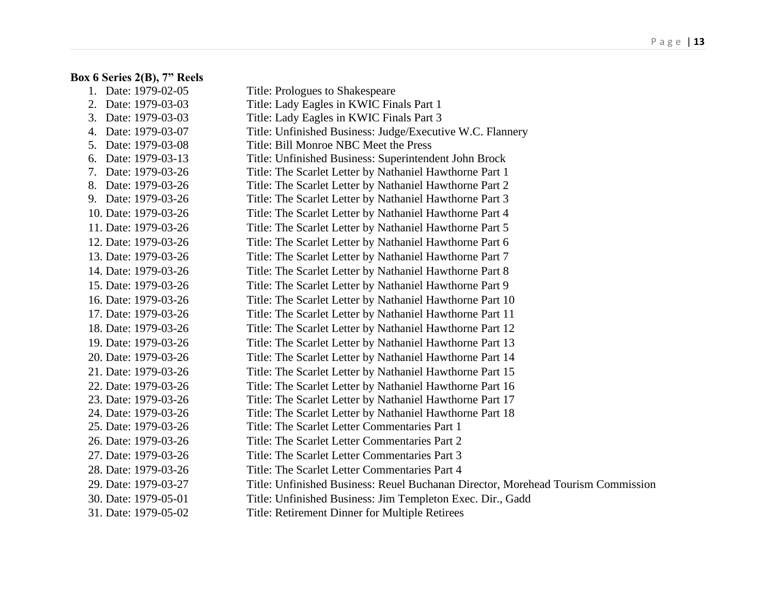### **Box 6 Series 2(B), 7" Reels**

| 1. Date: 1979-02-05    | Title: Prologues to Shakespeare                                                  |
|------------------------|----------------------------------------------------------------------------------|
| 2. Date: 1979-03-03    | Title: Lady Eagles in KWIC Finals Part 1                                         |
| Date: 1979-03-03<br>3. | Title: Lady Eagles in KWIC Finals Part 3                                         |
| Date: 1979-03-07<br>4. | Title: Unfinished Business: Judge/Executive W.C. Flannery                        |
| Date: 1979-03-08<br>5. | Title: Bill Monroe NBC Meet the Press                                            |
| Date: 1979-03-13<br>6. | Title: Unfinished Business: Superintendent John Brock                            |
| 7. Date: 1979-03-26    | Title: The Scarlet Letter by Nathaniel Hawthorne Part 1                          |
| 8. Date: 1979-03-26    | Title: The Scarlet Letter by Nathaniel Hawthorne Part 2                          |
| 9. Date: 1979-03-26    | Title: The Scarlet Letter by Nathaniel Hawthorne Part 3                          |
| 10. Date: 1979-03-26   | Title: The Scarlet Letter by Nathaniel Hawthorne Part 4                          |
| 11. Date: 1979-03-26   | Title: The Scarlet Letter by Nathaniel Hawthorne Part 5                          |
| 12. Date: 1979-03-26   | Title: The Scarlet Letter by Nathaniel Hawthorne Part 6                          |
| 13. Date: 1979-03-26   | Title: The Scarlet Letter by Nathaniel Hawthorne Part 7                          |
| 14. Date: 1979-03-26   | Title: The Scarlet Letter by Nathaniel Hawthorne Part 8                          |
| 15. Date: 1979-03-26   | Title: The Scarlet Letter by Nathaniel Hawthorne Part 9                          |
| 16. Date: 1979-03-26   | Title: The Scarlet Letter by Nathaniel Hawthorne Part 10                         |
| 17. Date: 1979-03-26   | Title: The Scarlet Letter by Nathaniel Hawthorne Part 11                         |
| 18. Date: 1979-03-26   | Title: The Scarlet Letter by Nathaniel Hawthorne Part 12                         |
| 19. Date: 1979-03-26   | Title: The Scarlet Letter by Nathaniel Hawthorne Part 13                         |
| 20. Date: 1979-03-26   | Title: The Scarlet Letter by Nathaniel Hawthorne Part 14                         |
| 21. Date: 1979-03-26   | Title: The Scarlet Letter by Nathaniel Hawthorne Part 15                         |
| 22. Date: 1979-03-26   | Title: The Scarlet Letter by Nathaniel Hawthorne Part 16                         |
| 23. Date: 1979-03-26   | Title: The Scarlet Letter by Nathaniel Hawthorne Part 17                         |
| 24. Date: 1979-03-26   | Title: The Scarlet Letter by Nathaniel Hawthorne Part 18                         |
| 25. Date: 1979-03-26   | Title: The Scarlet Letter Commentaries Part 1                                    |
| 26. Date: 1979-03-26   | Title: The Scarlet Letter Commentaries Part 2                                    |
| 27. Date: 1979-03-26   | Title: The Scarlet Letter Commentaries Part 3                                    |
| 28. Date: 1979-03-26   | Title: The Scarlet Letter Commentaries Part 4                                    |
| 29. Date: 1979-03-27   | Title: Unfinished Business: Reuel Buchanan Director, Morehead Tourism Commission |
| 30. Date: 1979-05-01   | Title: Unfinished Business: Jim Templeton Exec. Dir., Gadd                       |
| 31. Date: 1979-05-02   | Title: Retirement Dinner for Multiple Retirees                                   |
|                        |                                                                                  |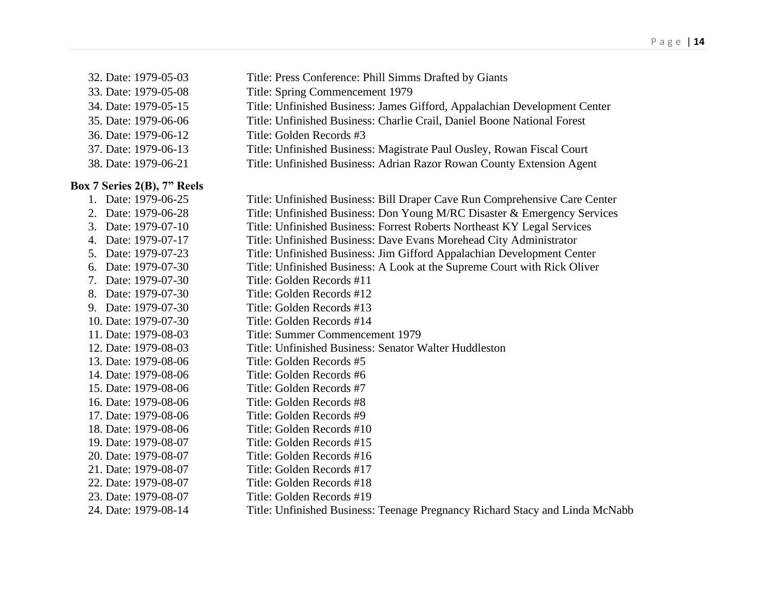| 32. Date: 1979-05-03               | Title: Press Conference: Phill Simms Drafted by Giants                       |
|------------------------------------|------------------------------------------------------------------------------|
| 33. Date: 1979-05-08               | Title: Spring Commencement 1979                                              |
| 34. Date: 1979-05-15               | Title: Unfinished Business: James Gifford, Appalachian Development Center    |
| 35. Date: 1979-06-06               | Title: Unfinished Business: Charlie Crail, Daniel Boone National Forest      |
| 36. Date: 1979-06-12               | Title: Golden Records #3                                                     |
| 37. Date: 1979-06-13               | Title: Unfinished Business: Magistrate Paul Ousley, Rowan Fiscal Court       |
| 38. Date: 1979-06-21               | Title: Unfinished Business: Adrian Razor Rowan County Extension Agent        |
|                                    |                                                                              |
| <b>Box 7 Series 2(B), 7" Reels</b> |                                                                              |
| 1. Date: 1979-06-25                | Title: Unfinished Business: Bill Draper Cave Run Comprehensive Care Center   |
| 2. Date: 1979-06-28                | Title: Unfinished Business: Don Young M/RC Disaster & Emergency Services     |
| 3. Date: 1979-07-10                | Title: Unfinished Business: Forrest Roberts Northeast KY Legal Services      |
| 4. Date: 1979-07-17                | Title: Unfinished Business: Dave Evans Morehead City Administrator           |
| 5. Date: 1979-07-23                | Title: Unfinished Business: Jim Gifford Appalachian Development Center       |
| 6. Date: 1979-07-30                | Title: Unfinished Business: A Look at the Supreme Court with Rick Oliver     |
| 7. Date: 1979-07-30                | Title: Golden Records #11                                                    |
| 8. Date: 1979-07-30                | Title: Golden Records #12                                                    |
| 9. Date: 1979-07-30                | Title: Golden Records #13                                                    |
| 10. Date: 1979-07-30               | Title: Golden Records #14                                                    |
| 11. Date: 1979-08-03               | Title: Summer Commencement 1979                                              |
| 12. Date: 1979-08-03               | Title: Unfinished Business: Senator Walter Huddleston                        |
| 13. Date: 1979-08-06               | Title: Golden Records #5                                                     |
| 14. Date: 1979-08-06               | Title: Golden Records #6                                                     |
| 15. Date: 1979-08-06               | Title: Golden Records #7                                                     |
| 16. Date: 1979-08-06               | Title: Golden Records #8                                                     |
| 17. Date: 1979-08-06               | Title: Golden Records #9                                                     |
| 18. Date: 1979-08-06               | Title: Golden Records #10                                                    |
| 19. Date: 1979-08-07               | Title: Golden Records #15                                                    |
| 20. Date: 1979-08-07               | Title: Golden Records #16                                                    |
| 21. Date: 1979-08-07               | Title: Golden Records #17                                                    |
| 22. Date: 1979-08-07               | Title: Golden Records #18                                                    |
| 23. Date: 1979-08-07               | Title: Golden Records #19                                                    |
| 24. Date: 1979-08-14               | Title: Unfinished Business: Teenage Pregnancy Richard Stacy and Linda McNabb |
|                                    |                                                                              |